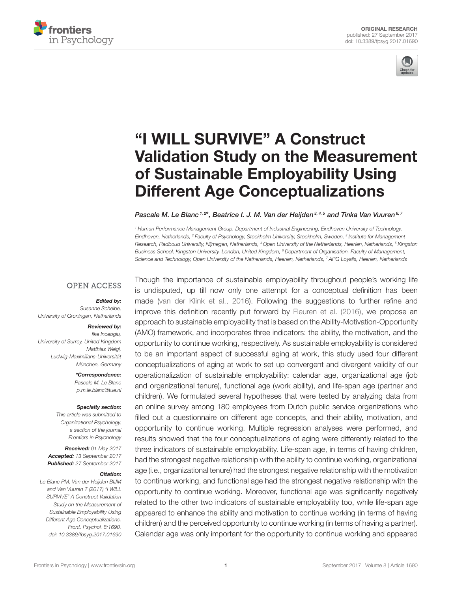



# "I WILL SURVIVE" A Construct [Validation Study on the Measurement](http://journal.frontiersin.org/article/10.3389/fpsyg.2017.01690/abstract) of Sustainable Employability Using Different Age Conceptualizations

#### [Pascale M. Le Blanc](http://loop.frontiersin.org/people/433680/overview)<sup>1, 2\*</sup>, [Beatrice I. J. M. Van der Heijden](http://loop.frontiersin.org/people/430165/overview)<sup>3, 4, 5</sup> and [Tinka Van Vuuren](http://loop.frontiersin.org/people/415465/overview)<sup>6, 7</sup>

<sup>1</sup> Human Performance Management Group, Department of Industrial Engineering, Eindhoven University of Technology, Eindhoven, Netherlands, <sup>2</sup> Faculty of Psychology, Stockholm University, Stockholm, Sweden, <sup>3</sup> Institute for Management Research, Radboud University, Nijmegen, Netherlands, <sup>4</sup> Open University of the Netherlands, Heerlen, Netherlands, <sup>5</sup> Kingston Business School, Kingston University, London, United Kingdom, <sup>6</sup> Department of Organisation, Faculty of Management, Science and Technology, Open University of the Netherlands, Heerlen, Netherlands, 7 APG Loyalis, Heerlen, Netherlands

#### **OPEN ACCESS**

#### Edited by:

Susanne Scheibe, University of Groningen, Netherlands

#### Reviewed by:

Ilke Inceoglu, University of Surrey, United Kingdom Matthias Weigl, Ludwig-Maximilians-Universität München, Germany

> \*Correspondence: Pascale M. Le Blanc [p.m.le.blanc@tue.nl](mailto:p.m.le.blanc@tue.nl)

#### Specialty section:

This article was submitted to Organizational Psychology, a section of the journal Frontiers in Psychology

Received: 01 May 2017 Accepted: 13 September 2017 Published: 27 September 2017

#### Citation:

Le Blanc PM, Van der Heijden BIJM and Van Vuuren T (2017) "I WILL SURVIVE" A Construct Validation Study on the Measurement of Sustainable Employability Using Different Age Conceptualizations. Front. Psychol. 8:1690. doi: [10.3389/fpsyg.2017.01690](https://doi.org/10.3389/fpsyg.2017.01690)

Though the importance of sustainable employability throughout people's working life is undisputed, up till now only one attempt for a conceptual definition has been made [\(van der Klink et al., 2016\)](#page-11-0). Following the suggestions to further refine and improve this definition recently put forward by [Fleuren et al. \(2016\)](#page-10-0), we propose an approach to sustainable employability that is based on the Ability-Motivation-Opportunity (AMO) framework, and incorporates three indicators: the ability, the motivation, and the opportunity to continue working, respectively. As sustainable employability is considered to be an important aspect of successful aging at work, this study used four different conceptualizations of aging at work to set up convergent and divergent validity of our operationalization of sustainable employability: calendar age, organizational age (job and organizational tenure), functional age (work ability), and life-span age (partner and children). We formulated several hypotheses that were tested by analyzing data from an online survey among 180 employees from Dutch public service organizations who filled out a questionnaire on different age concepts, and their ability, motivation, and opportunity to continue working. Multiple regression analyses were performed, and results showed that the four conceptualizations of aging were differently related to the three indicators of sustainable employability. Life-span age, in terms of having children, had the strongest negative relationship with the ability to continue working, organizational age (i.e., organizational tenure) had the strongest negative relationship with the motivation to continue working, and functional age had the strongest negative relationship with the opportunity to continue working. Moreover, functional age was significantly negatively related to the other two indicators of sustainable employability too, while life-span age appeared to enhance the ability and motivation to continue working (in terms of having children) and the perceived opportunity to continue working (in terms of having a partner). Calendar age was only important for the opportunity to continue working and appeared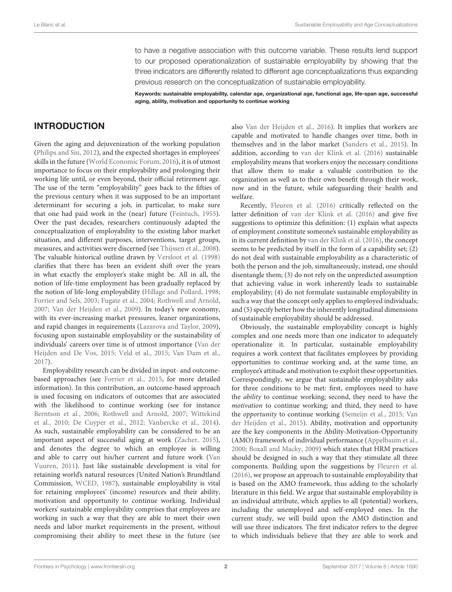to have a negative association with this outcome variable. These results lend support to our proposed operationalization of sustainable employability by showing that the three indicators are differently related to different age conceptualizations thus expanding previous research on the conceptualization of sustainable employability.

Keywords: sustainable employability, calendar age, organizational age, functional age, life-span age, successful aging, ability, motivation and opportunity to continue working

# INTRODUCTION

Given the aging and dejuvenization of the working population [\(Philips and Siu, 2012\)](#page-10-1), and the expected shortages in employees' skills in the future [\(World Economic Forum, 2016\)](#page-11-1), it is of utmost importance to focus on their employability and prolonging their working life until, or even beyond, their official retirement age. The use of the term "employability" goes back to the fifties of the previous century when it was supposed to be an important determinant for securing a job, in particular, to make sure that one had paid work in the (near) future [\(Feintuch, 1955\)](#page-9-0). Over the past decades, researchers continuously adapted the conceptualization of employability to the existing labor market situation, and different purposes, interventions, target groups, measures, and activities were discerned (see [Thijssen et al., 2008\)](#page-11-2). The valuable historical outline drawn by [Versloot et al. \(1998\)](#page-11-3) clarifies that there has been an evident shift over the years in what exactly the employer's stake might be. All in all, the notion of life-time employment has been gradually replaced by the notion of life-long employability [\(Hillage and Pollard, 1998;](#page-10-2) [Forrier and Sels, 2003;](#page-10-3) [Fugate et al., 2004;](#page-10-4) [Rothwell and Arnold,](#page-10-5) [2007;](#page-10-5) [Van der Heijden et al., 2009\)](#page-11-4). In today's new economy, with its ever-increasing market pressures, leaner organizations, and rapid changes in requirements [\(Lazarova and Taylor, 2009\)](#page-10-6), focusing upon sustainable employability or the sustainability of individuals' careers over time is of utmost importance (Van der Heijden and De Vos, [2015;](#page-11-5) [Veld et al., 2015;](#page-11-6) [Van Dam et al.,](#page-11-7) [2017\)](#page-11-7).

Employability research can be divided in input- and outcomebased approaches (see [Forrier et al., 2015,](#page-10-7) for more detailed information). In this contribution, an outcome-based approach is used focusing on indicators of outcomes that are associated with the likelihood to continue working (see for instance [Berntson et al., 2006;](#page-9-1) [Rothwell and Arnold, 2007;](#page-10-5) Wittekind et al., [2010;](#page-11-8) [De Cuyper et al., 2012;](#page-9-2) [Vanhercke et al., 2014\)](#page-11-9). As such, sustainable employability can be considered to be an important aspect of successful aging at work [\(Zacher, 2015\)](#page-11-10), and denotes the degree to which an employee is willing and able to carry out his/her current and future work (Van Vuuren, [2011\)](#page-11-11). Just like sustainable development is vital for retaining world's natural resources (United Nation's Brundtland Commission, [WCED, 1987\)](#page-11-12), sustainable employability is vital for retaining employees' (income) resources and their ability, motivation and opportunity to continue working. Individual workers' sustainable employability comprises that employees are working in such a way that they are able to meet their own needs and labor market requirements in the present, without compromising their ability to meet these in the future (see also [Van der Heijden et al., 2016\)](#page-11-13). It implies that workers are capable and motivated to handle changes over time, both in themselves and in the labor market [\(Sanders et al., 2015\)](#page-10-8). In addition, according to [van der Klink et al. \(2016\)](#page-11-0) sustainable employability means that workers enjoy the necessary conditions that allow them to make a valuable contribution to the organization as well as to their own benefit through their work, now and in the future, while safeguarding their health and welfare.

Recently, [Fleuren et al. \(2016\)](#page-10-0) critically reflected on the latter definition of [van der Klink et al. \(2016\)](#page-11-0) and give five suggestions to optimize this definition: (1) explain what aspects of employment constitute someone's sustainable employability as in its current definition by [van der Klink et al. \(2016\)](#page-11-0), the concept seems to be predicted by itself in the form of a capability set; (2) do not deal with sustainable employability as a characteristic of both the person and the job, simultaneously, instead, one should disentangle them; (3) do not rely on the unpredicted assumption that achieving value in work inherently leads to sustainable employability; (4) do not formulate sustainable employability in such a way that the concept only applies to employed individuals; and (5) specify better how the inherently longitudinal dimensions of sustainable employability should be addressed.

Obviously, the sustainable employability concept is highly complex and one needs more than one indicator to adequately operationalize it. In particular, sustainable employability requires a work context that facilitates employees by providing opportunities to continue working and, at the same time, an employee's attitude and motivation to exploit these opportunities. Correspondingly, we argue that sustainable employability asks for three conditions to be met: first, employees need to have the ability to continue working; second, they need to have the motivation to continue working; and third, they need to have the opportunity to continue working [\(Semeijn et al., 2015;](#page-10-9) Van der Heijden et al., [2015\)](#page-11-14). Ability, motivation and opportunity are the key components in the Ability-Motivation-Opportunity (AMO) framework of individual performance [\(Appelbaum et al.,](#page-9-3) [2000;](#page-9-3) [Boxall and Macky, 2009\)](#page-9-4) which states that HRM practices should be designed in such a way that they stimulate all three components. Building upon the suggestions by [Fleuren et al.](#page-10-0) [\(2016\)](#page-10-0), we propose an approach to sustainable employability that is based on the AMO framework, thus adding to the scholarly literature in this field. We argue that sustainable employability is an individual attribute, which applies to all (potential) workers, including the unemployed and self-employed ones. In the current study, we will build upon the AMO distinction and will use three indicators. The first indicator refers to the degree to which individuals believe that they are able to work and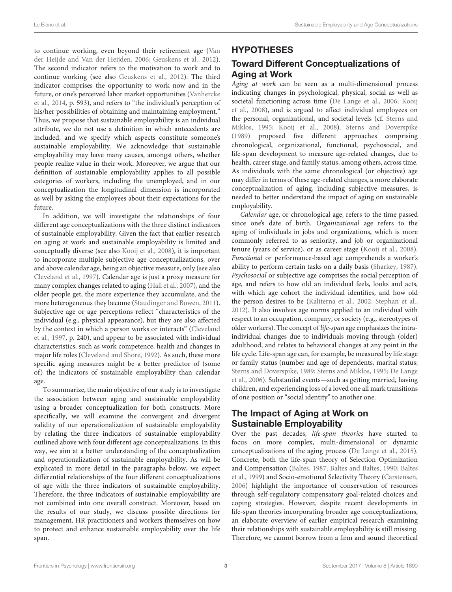to continue working, even beyond their retirement age (Van der Heijde and Van der Heijden, [2006;](#page-11-15) [Geuskens et al., 2012\)](#page-10-10). The second indicator refers to the motivation to work and to continue working (see also [Geuskens et al., 2012\)](#page-10-10). The third indicator comprises the opportunity to work now and in the future, or one's perceived labor market opportunities (Vanhercke et al., [2014,](#page-11-9) p. 593), and refers to "the individual's perception of his/her possibilities of obtaining and maintaining employment." Thus, we propose that sustainable employability is an individual attribute, we do not use a definition in which antecedents are included, and we specify which aspects constitute someone's sustainable employability. We acknowledge that sustainable employability may have many causes, amongst others, whether people realize value in their work. Moreover, we argue that our definition of sustainable employability applies to all possible categories of workers, including the unemployed, and in our conceptualization the longitudinal dimension is incorporated as well by asking the employees about their expectations for the future.

In addition, we will investigate the relationships of four different age conceptualizations with the three distinct indicators of sustainable employability. Given the fact that earlier research on aging at work and sustainable employability is limited and conceptually diverse (see also [Kooij et al., 2008\)](#page-10-11), it is important to incorporate multiple subjective age conceptualizations, over and above calendar age, being an objective measure, only (see also [Cleveland et al., 1997\)](#page-9-5). Calendar age is just a proxy measure for many complex changes related to aging [\(Hall et al., 2007\)](#page-10-12), and the older people get, the more experience they accumulate, and the more heterogeneous they become [\(Staudinger and Bowen, 2011\)](#page-10-13). Subjective age or age perceptions reflect "characteristics of the individual (e.g., physical appearance), but they are also affected by the context in which a person works or interacts" (Cleveland et al., [1997,](#page-9-5) p. 240), and appear to be associated with individual characteristics, such as work competence, health and changes in major life roles [\(Cleveland and Shore, 1992\)](#page-9-6). As such, these more specific aging measures might be a better predictor of (some of) the indicators of sustainable employability than calendar age.

To summarize, the main objective of our study is to investigate the association between aging and sustainable employability using a broader conceptualization for both constructs. More specifically, we will examine the convergent and divergent validity of our operationalization of sustainable employability by relating the three indicators of sustainable employability outlined above with four different age conceptualizations. In this way, we aim at a better understanding of the conceptualization and operationalization of sustainable employability. As will be explicated in more detail in the paragraphs below, we expect differential relationships of the four different conceptualizations of age with the three indicators of sustainable employability. Therefore, the three indicators of sustainable employability are not combined into one overall construct. Moreover, based on the results of our study, we discuss possible directions for management, HR practitioners and workers themselves on how to protect and enhance sustainable employability over the life span.

### HYPOTHESES

# Toward Different Conceptualizations of Aging at Work

Aging at work can be seen as a multi-dimensional process indicating changes in psychological, physical, social as well as societal functioning across time [\(De Lange et al., 2006;](#page-9-7) Kooij et al., [2008\)](#page-10-11), and is argued to affect individual employees on the personal, organizational, and societal levels (cf. Sterns and Miklos, [1995;](#page-11-16) [Kooij et al., 2008\)](#page-10-11). [Sterns and Doverspike](#page-11-17) [\(1989\)](#page-11-17) proposed five different approaches comprising chronological, organizational, functional, psychosocial, and life-span development to measure age-related changes, due to health, career stage, and family status, among others, across time. As individuals with the same chronological (or objective) age may differ in terms of these age-related changes, a more elaborate conceptualization of aging, including subjective measures, is needed to better understand the impact of aging on sustainable employability.

Calendar age, or chronological age, refers to the time passed since one's date of birth. Organizational age refers to the aging of individuals in jobs and organizations, which is more commonly referred to as seniority, and job or organizational tenure (years of service), or as career stage [\(Kooij et al., 2008\)](#page-10-11). Functional or performance-based age comprehends a worker's ability to perform certain tasks on a daily basis [\(Sharkey, 1987\)](#page-10-14). Psychosocial or subjective age comprises the social perception of age, and refers to how old an individual feels, looks and acts, with which age cohort the individual identifies, and how old the person desires to be [\(Kaliterna et al., 2002;](#page-10-15) [Stephan et al.,](#page-10-16) [2012\)](#page-10-16). It also involves age norms applied to an individual with respect to an occupation, company, or society (e.g., stereotypes of older workers). The concept of life-span age emphasizes the intraindividual changes due to individuals moving through (older) adulthood, and relates to behavioral changes at any point in the life cycle. Life-span age can, for example, be measured by life stage or family status (number and age of dependents, marital status; [Sterns and Doverspike, 1989;](#page-11-17) [Sterns and Miklos, 1995;](#page-11-16) De Lange et al., [2006\)](#page-9-7). Substantial events—such as getting married, having children, and experiencing loss of a loved one all mark transitions of one position or "social identity" to another one.

# The Impact of Aging at Work on Sustainable Employability

Over the past decades, life-span theories have started to focus on more complex, multi-dimensional or dynamic conceptualizations of the aging process [\(De Lange et al., 2015\)](#page-9-8). Concrete, both the life-span theory of Selection Optimization and Compensation [\(Baltes, 1987;](#page-9-9) [Baltes and Baltes, 1990;](#page-9-10) Baltes et al., [1999\)](#page-9-11) and Socio-emotional Selectivity Theory [\(Carstensen,](#page-9-12) [2006\)](#page-9-12) highlight the importance of conservation of resources through self-regulatory compensatory goal-related choices and coping strategies. However, despite recent developments in life-span theories incorporating broader age conceptualizations, an elaborate overview of earlier empirical research examining their relationships with sustainable employability is still missing. Therefore, we cannot borrow from a firm and sound theoretical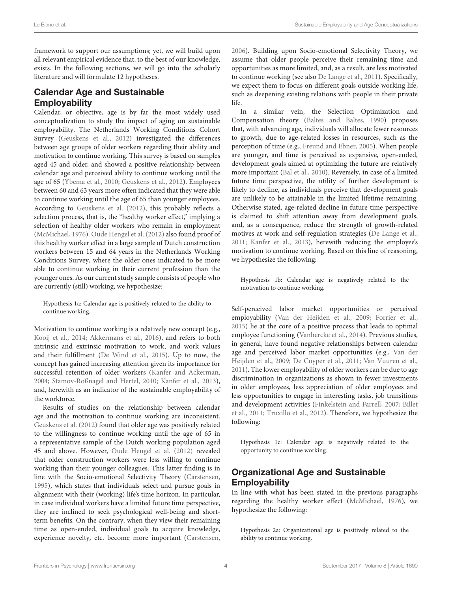framework to support our assumptions; yet, we will build upon all relevant empirical evidence that, to the best of our knowledge, exists. In the following sections, we will go into the scholarly literature and will formulate 12 hypotheses.

# Calendar Age and Sustainable **Employability**

Calendar, or objective, age is by far the most widely used conceptualization to study the impact of aging on sustainable employability. The Netherlands Working Conditions Cohort Survey [\(Geuskens et al., 2012\)](#page-10-10) investigated the differences between age groups of older workers regarding their ability and motivation to continue working. This survey is based on samples aged 45 and older, and showed a positive relationship between calendar age and perceived ability to continue working until the age of 65 [\(Ybema et al., 2010;](#page-11-18) [Geuskens et al., 2012\)](#page-10-10). Employees between 60 and 63 years more often indicated that they were able to continue working until the age of 65 than younger employees. According to [Geuskens et al. \(2012\)](#page-10-10), this probably reflects a selection process, that is, the "healthy worker effect," implying a selection of healthy older workers who remain in employment [\(McMichael, 1976\)](#page-10-17). [Oude Hengel et al. \(2012\)](#page-10-18) also found proof of this healthy worker effect in a large sample of Dutch construction workers between 15 and 64 years in the Netherlands Working Conditions Survey, where the older ones indicated to be more able to continue working in their current profession than the younger ones. As our current study sample consists of people who are currently (still) working, we hypothesize:

Hypothesis 1a: Calendar age is positively related to the ability to continue working.

Motivation to continue working is a relatively new concept (e.g., [Kooij et al., 2014;](#page-10-19) [Akkermans et al., 2016\)](#page-9-13), and refers to both intrinsic and extrinsic motivation to work, and work values and their fulfillment [\(De Wind et al., 2015\)](#page-9-14). Up to now, the concept has gained increasing attention given its importance for successful retention of older workers [\(Kanfer and Ackerman,](#page-10-20) [2004;](#page-10-20) [Stamov-Roßnagel and Hertel, 2010;](#page-10-21) [Kanfer et al., 2013\)](#page-10-22), and, herewith as an indicator of the sustainable employability of the workforce.

Results of studies on the relationship between calendar age and the motivation to continue working are inconsistent. [Geuskens et al. \(2012\)](#page-10-10) found that older age was positively related to the willingness to continue working until the age of 65 in a representative sample of the Dutch working population aged 45 and above. However, [Oude Hengel et al. \(2012\)](#page-10-18) revealed that older construction workers were less willing to continue working than their younger colleagues. This latter finding is in line with the Socio-emotional Selectivity Theory [\(Carstensen,](#page-9-15) [1995\)](#page-9-15), which states that individuals select and pursue goals in alignment with their (working) life's time horizon. In particular, in case individual workers have a limited future time perspective, they are inclined to seek psychological well-being and shortterm benefits. On the contrary, when they view their remaining time as open-ended, individual goals to acquire knowledge, experience novelty, etc. become more important [\(Carstensen,](#page-9-12)

[2006\)](#page-9-12). Building upon Socio-emotional Selectivity Theory, we assume that older people perceive their remaining time and opportunities as more limited, and, as a result, are less motivated to continue working (see also [De Lange et al., 2011\)](#page-9-16). Specifically, we expect them to focus on different goals outside working life, such as deepening existing relations with people in their private life.

In a similar vein, the Selection Optimization and Compensation theory [\(Baltes and Baltes, 1990\)](#page-9-10) proposes that, with advancing age, individuals will allocate fewer resources to growth, due to age-related losses in resources, such as the perception of time (e.g., [Freund and Ebner, 2005\)](#page-10-23). When people are younger, and time is perceived as expansive, open-ended, development goals aimed at optimizing the future are relatively more important [\(Bal et al., 2010\)](#page-9-17). Reversely, in case of a limited future time perspective, the utility of further development is likely to decline, as individuals perceive that development goals are unlikely to be attainable in the limited lifetime remaining. Otherwise stated, age-related decline in future time perspective is claimed to shift attention away from development goals, and, as a consequence, reduce the strength of growth-related motives at work and self-regulation strategies [\(De Lange et al.,](#page-9-16) [2011;](#page-9-16) [Kanfer et al., 2013\)](#page-10-22), herewith reducing the employee's motivation to continue working. Based on this line of reasoning, we hypothesize the following:

Hypothesis 1b: Calendar age is negatively related to the motivation to continue working.

Self-perceived labor market opportunities or perceived employability [\(Van der Heijden et al., 2009;](#page-11-4) [Forrier et al.,](#page-10-7) [2015\)](#page-10-7) lie at the core of a positive process that leads to optimal employee functioning [\(Vanhercke et al., 2014\)](#page-11-9). Previous studies, in general, have found negative relationships between calendar age and perceived labor market opportunities (e.g., Van der Heijden et al., [2009;](#page-11-4) [De Cuyper et al., 2011;](#page-9-18) [Van Vuuren et al.,](#page-11-19) [2011\)](#page-11-19). The lower employability of older workers can be due to age discrimination in organizations as shown in fewer investments in older employees, less appreciation of older employees and less opportunities to engage in interesting tasks, job transitions and development activities [\(Finkelstein and Farrell, 2007;](#page-10-24) Billet et al., [2011;](#page-9-19) [Truxillo et al., 2012\)](#page-11-20). Therefore, we hypothesize the following:

Hypothesis 1c: Calendar age is negatively related to the opportunity to continue working.

# Organizational Age and Sustainable **Employability**

In line with what has been stated in the previous paragraphs regarding the healthy worker effect [\(McMichael, 1976\)](#page-10-17), we hypothesize the following:

Hypothesis 2a: Organizational age is positively related to the ability to continue working.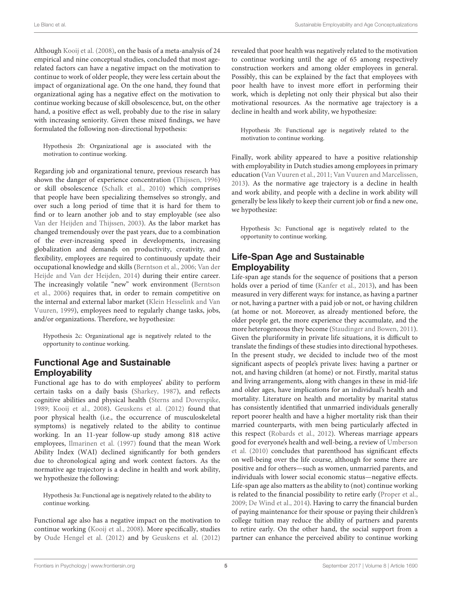Although [Kooij et al. \(2008\)](#page-10-11), on the basis of a meta-analysis of 24 empirical and nine conceptual studies, concluded that most agerelated factors can have a negative impact on the motivation to continue to work of older people, they were less certain about the impact of organizational age. On the one hand, they found that organizational aging has a negative effect on the motivation to continue working because of skill obsolescence, but, on the other hand, a positive effect as well, probably due to the rise in salary with increasing seniority. Given these mixed findings, we have formulated the following non-directional hypothesis:

Hypothesis 2b: Organizational age is associated with the motivation to continue working.

Regarding job and organizational tenure, previous research has shown the danger of experience concentration [\(Thijssen, 1996\)](#page-11-21) or skill obsolescence [\(Schalk et al., 2010\)](#page-10-25) which comprises that people have been specializing themselves so strongly, and over such a long period of time that it is hard for them to find or to learn another job and to stay employable (see also [Van der Heijden and Thijssen, 2003\)](#page-11-22). As the labor market has changed tremendously over the past years, due to a combination of the ever-increasing speed in developments, increasing globalization and demands on productivity, creativity, and flexibility, employees are required to continuously update their occupational knowledge and skills [\(Berntson et al., 2006;](#page-9-1) Van der Heijde and Van der Heijden, [2014\)](#page-11-23) during their entire career. The increasingly volatile "new" work environment (Berntson et al., [2006\)](#page-9-1) requires that, in order to remain competitive on the internal and external labor market (Klein Hesselink and Van Vuuren, [1999\)](#page-10-26), employees need to regularly change tasks, jobs, and/or organizations. Therefore, we hypothesize:

Hypothesis 2c: Organizational age is negatively related to the opportunity to continue working.

# Functional Age and Sustainable **Employability**

Functional age has to do with employees' ability to perform certain tasks on a daily basis [\(Sharkey, 1987\)](#page-10-14), and reflects cognitive abilities and physical health [\(Sterns and Doverspike,](#page-11-17) [1989;](#page-11-17) [Kooij et al., 2008\)](#page-10-11). [Geuskens et al. \(2012\)](#page-10-10) found that poor physical health (i.e., the occurrence of musculoskeletal symptoms) is negatively related to the ability to continue working. In an 11-year follow-up study among 818 active employees, [Ilmarinen et al. \(1997\)](#page-10-27) found that the mean Work Ability Index (WAI) declined significantly for both genders due to chronological aging and work context factors. As the normative age trajectory is a decline in health and work ability, we hypothesize the following:

Hypothesis 3a: Functional age is negatively related to the ability to continue working.

Functional age also has a negative impact on the motivation to continue working [\(Kooij et al., 2008\)](#page-10-11). More specifically, studies by [Oude Hengel et al. \(2012\)](#page-10-18) and by [Geuskens et al. \(2012\)](#page-10-10) revealed that poor health was negatively related to the motivation to continue working until the age of 65 among respectively construction workers and among older employees in general. Possibly, this can be explained by the fact that employees with poor health have to invest more effort in performing their work, which is depleting not only their physical but also their motivational resources. As the normative age trajectory is a decline in health and work ability, we hypothesize:

Hypothesis 3b: Functional age is negatively related to the motivation to continue working.

Finally, work ability appeared to have a positive relationship with employability in Dutch studies among employees in primary education [\(Van Vuuren et al., 2011;](#page-11-19) [Van Vuuren and Marcelissen,](#page-11-24) [2013\)](#page-11-24). As the normative age trajectory is a decline in health and work ability, and people with a decline in work ability will generally be less likely to keep their current job or find a new one, we hypothesize:

Hypothesis 3c: Functional age is negatively related to the opportunity to continue working.

# Life-Span Age and Sustainable **Employability**

Life-span age stands for the sequence of positions that a person holds over a period of time [\(Kanfer et al., 2013\)](#page-10-22), and has been measured in very different ways: for instance, as having a partner or not, having a partner with a paid job or not, or having children (at home or not. Moreover, as already mentioned before, the older people get, the more experience they accumulate, and the more heterogeneous they become [\(Staudinger and Bowen, 2011\)](#page-10-13). Given the pluriformity in private life situations, it is difficult to translate the findings of these studies into directional hypotheses. In the present study, we decided to include two of the most significant aspects of people's private lives: having a partner or not, and having children (at home) or not. Firstly, marital status and living arrangements, along with changes in these in mid-life and older ages, have implications for an individual's health and mortality. Literature on health and mortality by marital status has consistently identified that unmarried individuals generally report poorer health and have a higher mortality risk than their married counterparts, with men being particularly affected in this respect [\(Robards et al., 2012\)](#page-10-28). Whereas marriage appears good for everyone's health and well-being, a review of Umberson et al. [\(2010\)](#page-11-25) concludes that parenthood has significant effects on well-being over the life course, although for some there are positive and for others—such as women, unmarried parents, and individuals with lower social economic status—negative effects. Life-span age also matters as the ability to (not) continue working is related to the financial possibility to retire early [\(Proper et al.,](#page-10-29) [2009;](#page-10-29) [De Wind et al., 2014\)](#page-9-20). Having to carry the financial burden of paying maintenance for their spouse or paying their children's college tuition may reduce the ability of partners and parents to retire early. On the other hand, the social support from a partner can enhance the perceived ability to continue working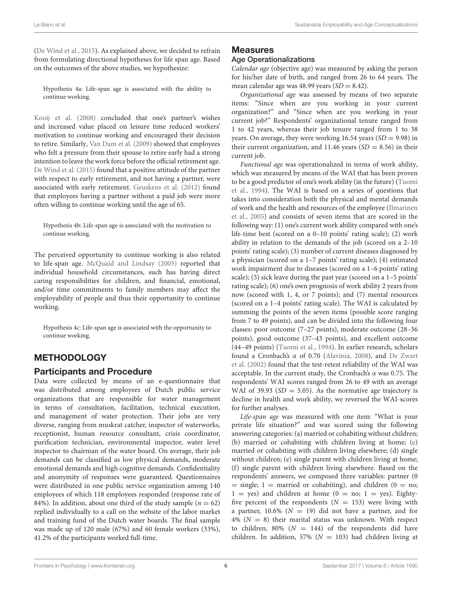[\(De Wind et al., 2015\)](#page-9-14). As explained above, we decided to refrain from formulating directional hypotheses for life span age. Based on the outcomes of the above studies, we hypothesize:

Hypothesis 4a: Life-span age is associated with the ability to continue working.

[Kooij et al. \(2008\)](#page-10-11) concluded that one's partner's wishes and increased value placed on leisure time reduced workers' motivation to continue working and encouraged their decision to retire. Similarly, [Van Dam et al. \(2009\)](#page-11-26) showed that employees who felt a pressure from their spouse to retire early had a strong intention to leave the work force before the official retirement age. [De Wind et al. \(2015\)](#page-9-14) found that a positive attitude of the partner with respect to early retirement, and not having a partner, were associated with early retirement. [Geuskens et al. \(2012\)](#page-10-10) found that employees having a partner without a paid job were more often willing to continue working until the age of 65.

Hypothesis 4b: Life-span age is associated with the motivation to continue working.

The perceived opportunity to continue working is also related to life-span age. [McQuaid and Lindsay \(2005\)](#page-10-30) reported that individual household circumstances, such has having direct caring responsibilities for children, and financial, emotional, and/or time commitments to family members may affect the employability of people and thus their opportunity to continue working.

Hypothesis 4c: Life-span age is associated with the opportunity to continue working.

# **METHODOLOGY**

#### Participants and Procedure

Data were collected by means of an e-questionnaire that was distributed among employees of Dutch public service organizations that are responsible for water management in terms of consultation, facilitation, technical execution, and management of water protection. Their jobs are very diverse, ranging from muskrat catcher, inspector of waterworks, receptionist, human resource consultant, crisis coordinator, purification technician, environmental inspector, water level inspector to chairman of the water board. On average, their job demands can be classified as low physical demands, moderate emotional demands and high cognitive demands. Confidentiality and anonymity of responses were guaranteed. Questionnaires were distributed in one public service organization among 140 employees of which 118 employees responded (response rate of 84%). In addition, about one third of the study sample ( $n = 62$ ) replied individually to a call on the website of the labor market and training fund of the Dutch water boards. The final sample was made up of 120 male (67%) and 60 female workers (33%), 41.2% of the participants worked full-time.

# **Measures**

#### Age Operationalizations

Calendar age (objective age) was measured by asking the person for his/her date of birth, and ranged from 26 to 64 years. The mean calendar age was 48.99 years  $(SD = 8.42)$ .

Organizational age was assessed by means of two separate items: "Since when are you working in your current organization?" and "Since when are you working in your current job?" Respondents' organizational tenure ranged from 1 to 42 years, whereas their job tenure ranged from 1 to 38 years. On average, they were working 16.54 years  $(SD = 9.98)$  in their current organization, and 11.46 years  $(SD = 8.56)$  in their current job.

Functional age was operationalized in terms of work ability, which was measured by means of the WAI that has been proven to be a good predictor of one's work ability (in the future) (Tuomi et al., [1994\)](#page-11-27). The WAI is based on a series of questions that takes into consideration both the physical and mental demands of work and the health and resources of the employee (Ilmarinen et al., [2005\)](#page-10-31) and consists of seven items that are scored in the following way: (1) one's current work ability compared with one's life-time best (scored on a 0–10 points' rating scale); (2) work ability in relation to the demands of the job (scored on a 2–10 points' rating scale); (3) number of current diseases diagnosed by a physician (scored on a 1–7 points' rating scale); (4) estimated work impairment due to diseases (scored on a 1–6 points' rating scale); (5) sick leave during the past year (scored on a 1–5 points' rating scale); (6) one's own prognosis of work ability 2 years from now (scored with 1, 4, or 7 points); and (7) mental resources (scored on a 1–4 points' rating scale). The WAI is calculated by summing the points of the seven items (possible score ranging from 7 to 49 points), and can be divided into the following four classes: poor outcome (7–27 points), moderate outcome (28–36 points), good outcome (37–43 points), and excellent outcome (44–49 points) [\(Tuomi et al., 1994\)](#page-11-27). In earlier research, scholars found a Cronbach's α of 0.70 [\(Alavinia, 2008\)](#page-9-21), and De Zwart et al. [\(2002\)](#page-9-22) found that the test-retest reliability of the WAI was acceptable. In the current study, the Cronbach's α was 0.75. The respondents' WAI scores ranged from 26 to 49 with an average WAI of 39.93 ( $SD = 5.05$ ). As the normative age trajectory is decline in health and work ability, we reversed the WAI-scores for further analyses.

Life-span age was measured with one item: "What is your private life situation?" and was scored using the following answering categories: (a) married or cohabiting without children; (b) married or cohabiting with children living at home; (c) married or cohabiting with children living elsewhere; (d) single without children; (e) single parent with children living at home; (f) single parent with children living elsewhere. Based on the respondents' answers, we composed three variables: partner (0  $=$  single; 1 = married or cohabiting), and children (0 = no;  $1 = yes$ ) and children at home (0 = no; 1 = yes). Eightyfive percent of the respondents ( $N = 153$ ) were living with a partner, 10.6% ( $N = 19$ ) did not have a partner, and for 4% ( $N = 8$ ) their marital status was unknown. With respect to children, 80% ( $N = 144$ ) of the respondents did have children. In addition, 57% ( $N = 103$ ) had children living at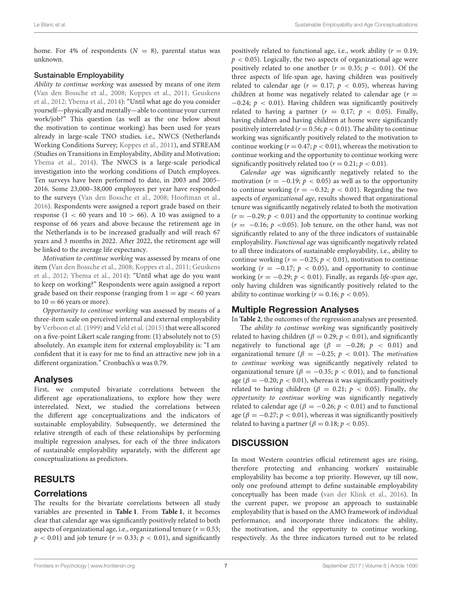home. For 4% of respondents  $(N = 8)$ , parental status was unknown.

#### Sustainable Employability

Ability to continue working was assessed by means of one item [\(Van den Bossche et al., 2008;](#page-11-28) [Koppes et al., 2011;](#page-10-32) Geuskens et al., [2012;](#page-10-10) [Ybema et al., 2014\)](#page-11-29): "Until what age do you consider yourself—physically and mentally—able to continue your current work/job?" This question (as well as the one below about the motivation to continue working) has been used for years already in large-scale TNO studies, i.e., NWCS (Netherlands Working Conditions Survey; [Koppes et al., 2011\)](#page-10-32), and STREAM (Studies on Transitions in Employability, Ability and Motivation; [Ybema et al., 2014\)](#page-11-29). The NWCS is a large-scale periodical investigation into the working conditions of Dutch employees. Ten surveys have been performed to date, in 2003 and 2005– 2016. Some 23,000–38,000 employees per year have responded to the surveys [\(Van den Bossche et al., 2008;](#page-11-28) [Hooftman et al.,](#page-10-33) [2016\)](#page-10-33). Respondents were assigned a report grade based on their response  $(1 < 60$  years and  $10 > 66$ ). A 10 was assigned to a response of 66 years and above because the retirement age in the Netherlands is to be increased gradually and will reach 67 years and 3 months in 2022. After 2022, the retirement age will be linked to the average life expectancy.

Motivation to continue working was assessed by means of one item [\(Van den Bossche et al., 2008;](#page-11-28) [Koppes et al., 2011;](#page-10-32) Geuskens et al., [2012;](#page-10-10) [Ybema et al., 2014\)](#page-11-29): "Until what age do you want to keep on working?" Respondents were again assigned a report grade based on their response (ranging from  $1 = age < 60$  years to  $10 = 66$  years or more).

Opportunity to continue working was assessed by means of a three-item scale on perceived internal and external employability by [Verboon et al. \(1999\)](#page-11-30) and [Veld et al. \(2015\)](#page-11-6) that were all scored on a five-point Likert scale ranging from: (1) absolutely not to (5) absolutely. An example item for external employability is: "I am confident that it is easy for me to find an attractive new job in a different organization." Cronbach's α was 0.79.

### Analyses

First, we computed bivariate correlations between the different age operationalizations, to explore how they were interrelated. Next, we studied the correlations between the different age conceptualizations and the indicators of sustainable employability. Subsequently, we determined the relative strength of each of these relationships by performing multiple regression analyses, for each of the three indicators of sustainable employability separately, with the different age conceptualizations as predictors.

# RESULTS

#### **Correlations**

The results for the bivariate correlations between all study variables are presented in **[Table 1](#page-7-0)**. From **[Table 1](#page-7-0)**, it becomes clear that calendar age was significantly positively related to both aspects of organizational age, i.e., organizational tenure ( $r = 0.53$ ;  $p < 0.01$ ) and job tenure ( $r = 0.33$ ;  $p < 0.01$ ), and significantly

positively related to functional age, i.e., work ability ( $r = 0.19$ ;  $p < 0.05$ ). Logically, the two aspects of organizational age were positively related to one another ( $r = 0.35$ ;  $p < 0.01$ ). Of the three aspects of life-span age, having children was positively related to calendar age ( $r = 0.17$ ;  $p < 0.05$ ), whereas having children at home was negatively related to calendar age  $(r =$  $-0.24$ ;  $p < 0.01$ ). Having children was significantly positively related to having a partner  $(r = 0.17; p < 0.05)$ . Finally, having children and having children at home were significantly positively interrelated ( $r = 0.56$ ;  $p < 0.01$ ). The ability to continue working was significantly positively related to the motivation to continue working ( $r = 0.47$ ;  $p < 0.01$ ), whereas the motivation to continue working and the opportunity to continue working were significantly positively related too  $(r = 0.21; p < 0.01)$ .

Calendar age was significantly negatively related to the motivation ( $r = -0.19$ ;  $p < 0.05$ ) as well as to the opportunity to continue working ( $r = -0.32$ ;  $p < 0.01$ ). Regarding the two aspects of organizational age, results showed that organizational tenure was significantly negatively related to both the motivation  $(r = -0.29; p < 0.01)$  and the opportunity to continue working  $(r = -0.16; p < 0.05)$ . Job tenure, on the other hand, was not significantly related to any of the three indicators of sustainable employability. Functional age was significantly negatively related to all three indicators of sustainable employability, i.e., ability to continue working ( $r = -0.25$ ;  $p < 0.01$ ), motivation to continue working ( $r = -0.17$ ;  $p < 0.05$ ), and opportunity to continue working ( $r = -0.29$ ;  $p < 0.01$ ). Finally, as regards life-span age, only having children was significantly positively related to the ability to continue working ( $r = 0.16$ ;  $p < 0.05$ ).

#### Multiple Regression Analyses

In **[Table 2](#page-7-1)**, the outcomes of the regression analyses are presented.

The ability to continue working was significantly positively related to having children ( $\beta = 0.29$ ;  $p < 0.01$ ), and significantly negatively to functional age ( $\beta$  = −0.28;  $p$  < 0.01) and organizational tenure ( $\beta = -0.25$ ;  $p < 0.01$ ). The motivation to continue working was significantly negatively related to organizational tenure ( $\beta = -0.35$ ;  $p < 0.01$ ), and to functional age ( $\beta = -0.20; p < 0.01$ ), whereas it was significantly positively related to having children ( $\beta = 0.21$ ;  $p < 0.05$ ). Finally, the opportunity to continue working was significantly negatively related to calendar age ( $\beta = -0.26$ ;  $p < 0.01$ ) and to functional age ( $\beta = -0.27$ ;  $p < 0.01$ ), whereas it was significantly positively related to having a partner ( $\beta = 0.18$ ;  $p < 0.05$ ).

### **DISCUSSION**

In most Western countries official retirement ages are rising, therefore protecting and enhancing workers' sustainable employability has become a top priority. However, up till now, only one profound attempt to define sustainable employability conceptually has been made [\(van der Klink et al., 2016\)](#page-11-0). In the current paper, we propose an approach to sustainable employability that is based on the AMO framework of individual performance, and incorporate three indicators: the ability, the motivation, and the opportunity to continue working, respectively. As the three indicators turned out to be related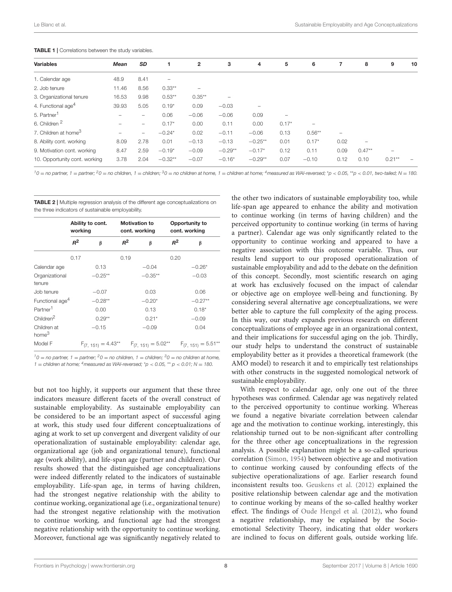<span id="page-7-0"></span>

| <b>TABLE 1</b>   Correlations between the study variables. |  |
|------------------------------------------------------------|--|
|------------------------------------------------------------|--|

| <b>Variables</b>                 | <b>Mean</b>              | <b>SD</b>                | 1                        | 2         | 3         | 4         | 5       | 6                        | 7    | 8                        | 9                        | 10       |
|----------------------------------|--------------------------|--------------------------|--------------------------|-----------|-----------|-----------|---------|--------------------------|------|--------------------------|--------------------------|----------|
| 1. Calendar age                  | 48.9                     | 8.41                     | $\overline{\phantom{0}}$ |           |           |           |         |                          |      |                          |                          |          |
| 2. Job tenure                    | 11.46                    | 8.56                     | $0.33**$                 | -         |           |           |         |                          |      |                          |                          |          |
| 3. Organizational tenure         | 16.53                    | 9.98                     | $0.53***$                | $0.35***$ |           |           |         |                          |      |                          |                          |          |
| 4. Functional age <sup>4</sup>   | 39.93                    | 5.05                     | $0.19*$                  | 0.09      | $-0.03$   |           |         |                          |      |                          |                          |          |
| 5. Partner <sup>1</sup>          |                          | -                        | 0.06                     | $-0.06$   | $-0.06$   | 0.09      | ۰       |                          |      |                          |                          |          |
| 6. Children <sup>2</sup>         | $\overline{\phantom{a}}$ | $\overline{\phantom{0}}$ | $0.17*$                  | 0.00      | 0.11      | 0.00      | $0.17*$ | $\overline{\phantom{m}}$ |      |                          |                          |          |
| 7. Children at home <sup>3</sup> | -                        | $\overline{\phantom{0}}$ | $-0.24*$                 | 0.02      | $-0.11$   | $-0.06$   | 0.13    | $0.56***$                |      |                          |                          |          |
| 8. Ability cont. working         | 8.09                     | 2.78                     | 0.01                     | $-0.13$   | $-0.13$   | $-0.25**$ | 0.01    | $0.17*$                  | 0.02 | $\overline{\phantom{a}}$ |                          |          |
| 9. Motivation cont. working      | 8.47                     | 2.59                     | $-0.19*$                 | $-0.09$   | $-0.29**$ | $-0.17*$  | 0.12    | 0.11                     | 0.09 | $0.47**$                 | $\overline{\phantom{a}}$ |          |
| 10. Opportunity cont. working    | 3.78                     | 2.04                     | $-0.32**$                | $-0.07$   | $-0.16*$  | $-0.29**$ | 0.07    | $-0.10$                  | 0.12 | 0.10                     | $0.21**$                 | $\equiv$ |

 $10 =$  no partner,  $1 =$  partner;  $20 =$  no children,  $1 =$  children;  $30 =$  no children at home,  $1 =$  children at home;  $4$  measured as WAI-reversed; \*p < 0.05, \*\*p < 0.01, two-tailed; N = 180.

<span id="page-7-1"></span>TABLE 2 | Multiple regression analysis of the different age conceptualizations on the three indicators of sustainable employability.

|                                  | working | Ability to cont.        |       | <b>Motivation to</b><br>cont. working | Opportunity to<br>cont. working |                         |  |
|----------------------------------|---------|-------------------------|-------|---------------------------------------|---------------------------------|-------------------------|--|
|                                  | $R^2$   | β                       | $R^2$ | β                                     | $R^2$                           | β                       |  |
|                                  | 0.17    |                         | 0.19  |                                       | 0.20                            |                         |  |
| Calendar age                     |         | 0.13                    |       | $-0.04$                               |                                 | $-0.26*$                |  |
| Organizational<br>tenure         |         | $-0.25**$               |       | $-0.35**$                             |                                 | $-0.03$                 |  |
| Job tenure                       |         | $-0.07$                 |       | 0.03                                  |                                 | 0.06                    |  |
| Functional age <sup>4</sup>      |         | $-0.28**$               |       | $-0.20*$                              |                                 | $-0.27**$               |  |
| Partner <sup>1</sup>             |         | 0.00                    |       | 0.13                                  |                                 | $0.18*$                 |  |
| Children <sup>2</sup>            |         | $0.29**$                |       | $0.21*$                               |                                 | $-0.09$                 |  |
| Children at<br>home <sup>3</sup> |         | $-0.15$                 |       | $-0.09$                               |                                 | 0.04                    |  |
| Model F                          |         | $F_{(7, 151)} = 4.43**$ |       | $F_{(7, 151)} = 5.02**$               |                                 | $F_{(7, 151)} = 5.51**$ |  |

 $10 =$  no partner,  $1 =$  partner;  $20 =$  no children,  $1 =$  children;  $30 =$  no children at home, 1 = children at home; <sup>4</sup> measured as WAI-reversed;  $p$  < 0.05,  $p$  = 0.01; N = 180.

but not too highly, it supports our argument that these three indicators measure different facets of the overall construct of sustainable employability. As sustainable employability can be considered to be an important aspect of successful aging at work, this study used four different conceptualizations of aging at work to set up convergent and divergent validity of our operationalization of sustainable employability: calendar age, organizational age (job and organizational tenure), functional age (work ability), and life-span age (partner and children). Our results showed that the distinguished age conceptualizations were indeed differently related to the indicators of sustainable employability. Life-span age, in terms of having children, had the strongest negative relationship with the ability to continue working, organizational age (i.e., organizational tenure) had the strongest negative relationship with the motivation to continue working, and functional age had the strongest negative relationship with the opportunity to continue working. Moreover, functional age was significantly negatively related to

the other two indicators of sustainable employability too, while life-span age appeared to enhance the ability and motivation to continue working (in terms of having children) and the perceived opportunity to continue working (in terms of having a partner). Calendar age was only significantly related to the opportunity to continue working and appeared to have a negative association with this outcome variable. Thus, our results lend support to our proposed operationalization of sustainable employability and add to the debate on the definition of this concept. Secondly, most scientific research on aging at work has exclusively focused on the impact of calendar or objective age on employee well-being and functioning. By considering several alternative age conceptualizations, we were better able to capture the full complexity of the aging process. In this way, our study expands previous research on different conceptualizations of employee age in an organizational context, and their implications for successful aging on the job. Thirdly, our study helps to understand the construct of sustainable employability better as it provides a theoretical framework (the AMO model) to research it and to empirically test relationships with other constructs in the suggested nomological network of sustainable employability.

With respect to calendar age, only one out of the three hypotheses was confirmed. Calendar age was negatively related to the perceived opportunity to continue working. Whereas we found a negative bivariate correlation between calendar age and the motivation to continue working, interestingly, this relationship turned out to be non-significant after controlling for the three other age conceptualizations in the regression analysis. A possible explanation might be a so-called spurious correlation [\(Simon, 1954\)](#page-10-34) between objective age and motivation to continue working caused by confounding effects of the subjective operationalizations of age. Earlier research found inconsistent results too. [Geuskens et al. \(2012\)](#page-10-10) explained the positive relationship between calendar age and the motivation to continue working by means of the so-called healthy worker effect. The findings of [Oude Hengel et al. \(2012\)](#page-10-18), who found a negative relationship, may be explained by the Socioemotional Selectivity Theory, indicating that older workers are inclined to focus on different goals, outside working life.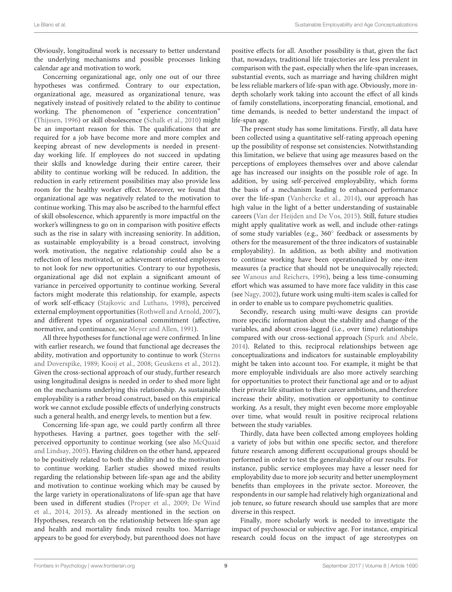Obviously, longitudinal work is necessary to better understand the underlying mechanisms and possible processes linking calendar age and motivation to work.

Concerning organizational age, only one out of our three hypotheses was confirmed. Contrary to our expectation, organizational age, measured as organizational tenure, was negatively instead of positively related to the ability to continue working. The phenomenon of "experience concentration" [\(Thijssen, 1996\)](#page-11-21) or skill obsolescence [\(Schalk et al., 2010\)](#page-10-25) might be an important reason for this. The qualifications that are required for a job have become more and more complex and keeping abreast of new developments is needed in presentday working life. If employees do not succeed in updating their skills and knowledge during their entire career, their ability to continue working will be reduced. In addition, the reduction in early retirement possibilities may also provide less room for the healthy worker effect. Moreover, we found that organizational age was negatively related to the motivation to continue working. This may also be ascribed to the harmful effect of skill obsolescence, which apparently is more impactful on the worker's willingness to go on in comparison with positive effects such as the rise in salary with increasing seniority. In addition, as sustainable employability is a broad construct, involving work motivation, the negative relationship could also be a reflection of less motivated, or achievement oriented employees to not look for new opportunities. Contrary to our hypothesis, organizational age did not explain a significant amount of variance in perceived opportunity to continue working. Several factors might moderate this relationship, for example, aspects of work self-efficacy [\(Stajkovic and Luthans, 1998\)](#page-10-35), perceived external employment opportunities [\(Rothwell and Arnold, 2007\)](#page-10-5), and different types of organizational commitment (affective, normative, and continuance, see [Meyer and Allen, 1991\)](#page-10-36).

All three hypotheses for functional age were confirmed. In line with earlier research, we found that functional age decreases the ability, motivation and opportunity to continue to work (Sterns and Doverspike, [1989;](#page-11-17) [Kooij et al., 2008;](#page-10-11) [Geuskens et al., 2012\)](#page-10-10). Given the cross-sectional approach of our study, further research using longitudinal designs is needed in order to shed more light on the mechanisms underlying this relationship. As sustainable employability is a rather broad construct, based on this empirical work we cannot exclude possible effects of underlying constructs such a general health, and energy levels, to mention but a few.

Concerning life-span age, we could partly confirm all three hypotheses. Having a partner, goes together with the selfperceived opportunity to continue working (see also McQuaid and Lindsay, [2005\)](#page-10-30). Having children on the other hand, appeared to be positively related to both the ability and to the motivation to continue working. Earlier studies showed mixed results regarding the relationship between life-span age and the ability and motivation to continue working which may be caused by the large variety in operationalizatons of life-span age that have been used in different studies [\(Proper et al., 2009;](#page-10-29) De Wind et al., [2014,](#page-9-20) [2015\)](#page-9-14). As already mentioned in the section on Hypotheses, research on the relationship between life-span age and health and mortality finds mixed results too. Marriage appears to be good for everybody, but parenthood does not have positive effects for all. Another possibility is that, given the fact that, nowadays, traditional life trajectories are less prevalent in comparison with the past, especially when the life-span increases, substantial events, such as marriage and having children might be less reliable markers of life-span with age. Obviously, more indepth scholarly work taking into account the effect of all kinds of family constellations, incorporating financial, emotional, and time demands, is needed to better understand the impact of life-span age.

The present study has some limitations. Firstly, all data have been collected using a quantitative self-rating approach opening up the possibility of response set consistencies. Notwithstanding this limitation, we believe that using age measures based on the perceptions of employees themselves over and above calendar age has increased our insights on the possible role of age. In addition, by using self-perceived employability, which forms the basis of a mechanism leading to enhanced performance over the life-span [\(Vanhercke et al., 2014\)](#page-11-9), our approach has high value in the light of a better understanding of sustainable careers [\(Van der Heijden and De Vos, 2015\)](#page-11-5). Still, future studies might apply qualitative work as well, and include other-ratings of some study variables (e.g., 360◦ feedback or assessments by others for the measurement of the three indicators of sustainable employability). In addition, as both ability and motivation to continue working have been operationalized by one-item measures (a practice that should not be unequivocally rejected; see [Wanous and Reichers, 1996\)](#page-11-31), being a less time-consuming effort which was assumed to have more face validity in this case (see [Nagy, 2002\)](#page-10-37), future work using multi-item scales is called for in order to enable us to compare psychometric qualities.

Secondly, research using multi-wave designs can provide more specific information about the stability and change of the variables, and about cross-lagged (i.e., over time) relationships compared with our cross-sectional approach [\(Spurk and Abele,](#page-10-38) [2014\)](#page-10-38). Related to this, reciprocal relationships between age conceptualizations and indicators for sustainable employability might be taken into account too. For example, it might be that more employable individuals are also more actively searching for opportunities to protect their functional age and or to adjust their private life situation to their career ambitions, and therefore increase their ability, motivation or opportunity to continue working. As a result, they might even become more employable over time, what would result in positive reciprocal relations between the study variables.

Thirdly, data have been collected among employees holding a variety of jobs but within one specific sector, and therefore future research among different occupational groups should be performed in order to test the generalizability of our results. For instance, public service employees may have a lesser need for employability due to more job security and better unemployment benefits than employees in the private sector. Moreover, the respondents in our sample had relatively high organizational and job tenure, so future research should use samples that are more diverse in this respect.

Finally, more scholarly work is needed to investigate the impact of psychosocial or subjective age. For instance, empirical research could focus on the impact of age stereotypes on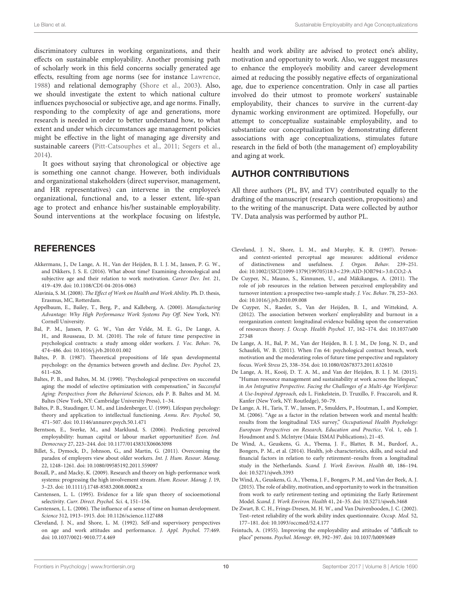discriminatory cultures in working organizations, and their effects on sustainable employability. Another promising path of scholarly work in this field concerns socially generated age effects, resulting from age norms (see for instance [Lawrence,](#page-10-39) [1988\)](#page-10-39) and relational demography [\(Shore et al., 2003\)](#page-10-40). Also, we should investigate the extent to which national culture influences psychosocial or subjective age, and age norms. Finally, responding to the complexity of age and generations, more research is needed in order to better understand how, to what extent and under which circumstances age management policies might be effective in the light of managing age diversity and sustainable careers [\(Pitt-Catsouphes et al., 2011;](#page-10-41) [Segers et al.,](#page-10-42) [2014\)](#page-10-42).

It goes without saying that chronological or objective age is something one cannot change. However, both individuals and organizational stakeholders (direct supervisor, management, and HR representatives) can intervene in the employee's organizational, functional and, to a lesser extent, life-span age to protect and enhance his/her sustainable employability. Sound interventions at the workplace focusing on lifestyle,

### **REFERENCES**

- <span id="page-9-13"></span>Akkermans, J., De Lange, A. H., Van der Heijden, B. I. J. M., Jansen, P. G. W., and Dikkers, J. S. E. (2016). What about time? Examining chronological and subjective age and their relation to work motivation. Career Dev. Int. 21, 419–439. doi: [10.1108/CDI-04-2016-0063](https://doi.org/10.1108/CDI-04-2016-0063)
- <span id="page-9-21"></span>Alavinia, S. M. (2008). The Effect of Work on Health and Work Ability. Ph. D. thesis, Erasmus, MC, Rotterdam.
- <span id="page-9-3"></span>Appelbaum, E., Bailey, T., Berg, P., and Kalleberg, A. (2000). Manufacturing Advantage: Why High Performance Work Systems Pay Off. New York, NY: Cornell University.
- <span id="page-9-17"></span>Bal, P. M., Jansen, P. G. W., Van der Velde, M. E. G., De Lange, A. H., and Rousseau, D. M. (2010). The role of future time perspective in psychological contracts: a study among older workers. J. Voc. Behav. 76, 474–486. doi: [10.1016/j.jvb.2010.01.002](https://doi.org/10.1016/j.jvb.2010.01.002)
- <span id="page-9-9"></span>Baltes, P. B. (1987). Theoretical propositions of life span developmental psychology: on the dynamics between growth and decline. Dev. Psychol. 23, 611–626.
- <span id="page-9-10"></span>Baltes, P. B., and Baltes, M. M. (1990). "Psychological perspectives on successful aging: the model of selective optimization with compensation," in Successful Aging: Perspectives from the Behavioral Sciences, eds P. B. Baltes and M. M. Baltes (New York, NY: Cambridge University Press), 1–34.
- <span id="page-9-11"></span>Baltes, P. B., Staudinger, U. M., and Lindenberger, U. (1999). Lifespan psychology: theory and application to intellectual functioning. Annu. Rev. Psychol. 50, 471–507. doi: [10.1146/annurev.psych.50.1.471](https://doi.org/10.1146/annurev.psych.50.1.471)
- <span id="page-9-1"></span>Berntson, E., Sverke, M., and Marklund, S. (2006). Predicting perceived employability: human capital or labour market opportunities? Econ. Ind. Democracy 27, 223–244. doi: [10.1177/0143831X06063098](https://doi.org/10.1177/0143831X06063098)
- <span id="page-9-19"></span>Billet, S., Dymock, D., Johnson, G., and Martin, G. (2011). Overcoming the paradox of employers view about older workers. Int. J. Hum. Resour. Manag. 22, 1248–1261. doi: [10.1080/09585192.2011.559097](https://doi.org/10.1080/09585192.2011.559097)
- <span id="page-9-4"></span>Boxall, P., and Macky, K. (2009). Research and theory on high-performance work systems: progressing the high involvement stream. Hum. Resour. Manag. J. 19, 3–23. doi: [10.1111/j.1748-8583.2008.00082.x](https://doi.org/10.1111/j.1748-8583.2008.00082.x)
- <span id="page-9-15"></span>Carstensen, L. L. (1995). Evidence for a life span theory of socioemotional selectivity. Curr. Direct. Psychol. Sci. 4, 151–156.
- <span id="page-9-12"></span>Carstensen, L. L. (2006). The influence of a sense of time on human development. Science 312, 1913–1915. doi: [10.1126/science.1127488](https://doi.org/10.1126/science.1127488)
- <span id="page-9-6"></span>Cleveland, J. N., and Shore, L. M. (1992). Self-and supervisory perspectives on age and work attitudes and performance. J. Appl. Psychol. 77:469. doi: [10.1037/0021-9010.77.4.469](https://doi.org/10.1037/0021-9010.77.4.469)

health and work ability are advised to protect one's ability, motivation and opportunity to work. Also, we suggest measures to enhance the employee's mobility and career development aimed at reducing the possibly negative effects of organizational age, due to experience concentration. Only in case all parties involved do their utmost to promote workers' sustainable employability, their chances to survive in the current-day dynamic working environment are optimized. Hopefully, our attempt to conceptualize sustainable employability, and to substantiate our conceptualization by demonstrating different associations with age conceptualizations, stimulates future research in the field of both (the management of) employability and aging at work.

### AUTHOR CONTRIBUTIONS

All three authors (PL, BV, and TV) contributed equally to the drafting of the manuscript (research question, propositions) and to the writing of the manuscript. Data were collected by author TV. Data analysis was performed by author PL.

- <span id="page-9-5"></span>Cleveland, J. N., Shore, L. M., and Murphy, K. R. (1997). Personand context-oriented perceptual age measures: additional evidence of distinctiveness and usefulness. J. Organ. Behav. 239–251. doi: [10.1002/\(SICI\)1099-1379\(199705\)18:3](https://doi.org/10.1002/(SICI)1099-1379(199705)18:3<239::AID-JOB794>3.0.CO;2-A)<239::AID-JOB794>3.0.CO;2-A
- <span id="page-9-18"></span>De Cuyper, N., Mauno, S., Kinnunen, U., and Mäkikangas, A. (2011). The role of job resources in the relation between perceived employability and turnover intention: a prospective two-sample study. J. Voc. Behav. 78, 253–263. doi: [10.1016/j.jvb.2010.09.008](https://doi.org/10.1016/j.jvb.2010.09.008)
- <span id="page-9-2"></span>De Cuyper, N., Raeder, S., Van der Heijden, B. I., and Wittekind, A. (2012). The association between workers' employability and burnout in a reorganization context: longitudinal evidence building upon the conservation of resources theory. J. Occup. Health Psychol. [17, 162–174. doi: 10.1037/a00](https://doi.org/10.1037/a0027348) 27348
- <span id="page-9-16"></span>De Lange, A. H., Bal, P. M., Van der Heijden, B. I. J. M., De Jong, N. D., and Schaufeli, W. B. (2011). When I'm 64: psychological contract breach, work motivation and the moderating roles of future time perspective and regulatory focus. Work Stress 25, 338–354. doi: [10.1080/02678373.2011.632610](https://doi.org/10.1080/02678373.2011.632610)
- <span id="page-9-8"></span>De Lange, A. H., Kooij, D. T. A. M., and Van der Heijden, B. I. J. M. (2015). "Human resource management and sustainability at work across the lifespan," in An Integrative Perspective. Facing the Challenges of a Multi-Age Workforce: A Use-Inspired Approach, eds L. Finkelstein, D. Truxillo, F. Fraccaroli, and R. Kanfer (New York, NY: Routledge), 50–79.
- <span id="page-9-7"></span>De Lange, A. H., Taris, T. W., Jansen, P., Smulders, P., Houtman, I., and Kompier, M. (2006). "Age as a factor in the relation between work and mental health: results from the longitudinal TAS survey," Occupational Health Psychology: European Perspectives on Research, Education and Practice, Vol. 1, eds J. Houdmont and S. McIntyre (Maia: ISMAI Publications), 21–45.
- <span id="page-9-20"></span>De Wind, A., Geuskens, G. A., Ybema, J. F., Blatter, B. M., Burdorf, A., Bongers, P. M., et al. (2014). Health, job characteristics, skills, and social and financial factors in relation to early retirement–results from a longitudinal study in the Netherlands. Scand. J. Work Environ. Health 40, 186–194. doi: [10.5271/sjweh.3393](https://doi.org/10.5271/sjweh.3393)
- <span id="page-9-14"></span>De Wind, A., Geuskens, G. A., Ybema, J. F., Bongers, P. M., and Van der Beek, A. J. (2015). The role of ability, motivation, and opportunity to work in the transition from work to early retirement-testing and optimizing the Early Retirement Model. Scand. J. Work Environ. Health 41, 24–35. doi: [10.5271/sjweh.3468](https://doi.org/10.5271/sjweh.3468)
- <span id="page-9-22"></span>De Zwart, B. C. H., Frings-Dresen, M. H. W., and Van Duivenbooden, J. C. (2002). Test–retest reliability of the work ability index questionnaire. Occup. Med. 52, 177–181. doi: [10.1093/occmed/52.4.177](https://doi.org/10.1093/occmed/52.4.177)
- <span id="page-9-0"></span>Feintuch, A. (1955). Improving the employability and attitudes of "difficult to place" persons. Psychol. Monogr. 69, 392–397. doi: [10.1037/h0093689](https://doi.org/10.1037/h0093689)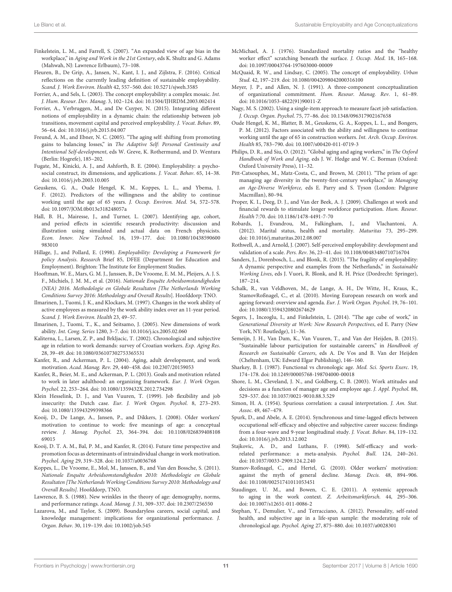- <span id="page-10-24"></span>Finkelstein, L. M., and Farrell, S. (2007). "An expanded view of age bias in the workplace," in Aging and Work in the 21st Century, eds K. Shultz and G. Adams (Mahwah, NJ: Lawrence Erlbaum), 73–108.
- <span id="page-10-0"></span>Fleuren, B., De Grip, A., Jansen, N., Kant, I. J., and Zijlstra, F. (2016). Critical reflections on the currently leading definition of sustainable employability. Scand. J. Work Environ. Health 42, 557–560. doi: [10.5271/sjweh.3585](https://doi.org/10.5271/sjweh.3585)
- <span id="page-10-3"></span>Forrier, A., and Sels, L. (2003). The concept employability: a complex mosaic. Int. J. Hum. Resour. Dev. Manag. 3, 102–124. doi: [10.1504/IJHRDM.2003.002414](https://doi.org/10.1504/IJHRDM.2003.002414)
- <span id="page-10-7"></span>Forrier, A., Verbruggen, M., and De Cuyper, N. (2015). Integrating different notions of employability in a dynamic chain: the relationship between job transitions, movement capital and perceived employability. J. Vocat. Behav. 89, 56–64. doi: [10.1016/j.jvb.2015.04.007](https://doi.org/10.1016/j.jvb.2015.04.007)
- <span id="page-10-23"></span>Freund, A. M., and Ebner, N. C. (2005). "The aging self: shifting from promoting gains to balancing losses," in The Adaptive Self: Personal Continuity and Intentional Self-development, eds W. Greve, K. Rothermund, and D. Wentura (Berlin: Hogrefe), 185–202.
- <span id="page-10-4"></span>Fugate, M., Kinicki, A. J., and Ashforth, B. E. (2004). Employability: a psychosocial construct, its dimensions, and applications. J. Vocat. Behav. 65, 14–38. doi: [10.1016/j.jvb.2003.10.005](https://doi.org/10.1016/j.jvb.2003.10.005)
- <span id="page-10-10"></span>Geuskens, G. A., Oude Hengel, K. M., Koppes, L. L., and Ybema, J. F. (2012). Predictors of the willingness and the ability to continue working until the age of 65 years. J. Occup. Environ. Med. 54, 572–578. doi: [10.1097/JOM.0b013e318248057a](https://doi.org/10.1097/JOM.0b013e318248057a)
- <span id="page-10-12"></span>Hall, B. H., Mairesse, J., and Turner, L. (2007). Identifying age, cohort, and period effects in scientific research productivity: discussion and illustration using simulated and actual data on French physicists. Econ. Innov. New Technol[. 16, 159–177. doi: 10.1080/10438590600](https://doi.org/10.1080/10438590600983010) 983010
- <span id="page-10-2"></span>Hillage, J., and Pollard, E. (1998). Employability: Developing a Framework for policy Analysis. Research Brief 85, DFEE (Department for Education and Employment). Brighton: The Institute for Employment Studies.
- <span id="page-10-33"></span>Hooftman, W. E., Mars, G. M. J., Janssen, B., De Vroome, E. M. M., Pleijers, A. J. S. F., Michiels, J. M. M., et al. (2016). Nationale Enquête Arbeidsomstandigheden (NEA) 2016. Methodologie en Globale Resultaten [The Netherlands Working Conditions Survey 2016: Methodology and Overall Results]. Hoofddorp: TNO.
- <span id="page-10-27"></span>Ilmarinen, J., Tuomi, J. K., and Klockars, M. (1997). Changes in the work ability of active employees as measured by the work ability index over an 11-year period. Scand. J. Work Environ. Health 23, 49–57.
- <span id="page-10-31"></span>Ilmarinen, J., Tuomi, T., K., and Seitsamo, J. (2005). New dimensions of work ability. Int. Cong. Series 1280, 3–7. doi: [10.1016/j.ics.2005.02.060](https://doi.org/10.1016/j.ics.2005.02.060)
- <span id="page-10-15"></span>Kaliterna, L., Larsen, Z. P., and Brkljacic, T. (2002). Chronological and subjective age in relation to work demands: survey of Croatian workers. Exp. Aging Res. 28, 39–49. doi: [10.1080/036107302753365531](https://doi.org/10.1080/036107302753365531)
- <span id="page-10-20"></span>Kanfer, R., and Ackerman, P. L. (2004). Aging, adult development, and work motivation. Acad. Manag. Rev. 29, 440–458. doi: [10.2307/20159053](https://doi.org/10.2307/20159053)
- <span id="page-10-22"></span>Kanfer, R., Beier, M. E., and Ackerman, P. L. (2013). Goals and motivation related to work in later adulthood: an organizing framework. Eur. J. Work Organ. Psychol. 22, 253–264. doi: [10.1080/1359432X.2012.734298](https://doi.org/10.1080/1359432X.2012.734298)
- <span id="page-10-26"></span>Klein Hesselink, D. J., and Van Vuuren, T. (1999). Job flexibility and job insecurity: the Dutch case. Eur. J. Work Organ. Psychol. 8, 273–293. doi: [10.1080/135943299398366](https://doi.org/10.1080/135943299398366)
- <span id="page-10-11"></span>Kooij, D., De Lange, A., Jansen, P., and Dikkers, J. (2008). Older workers' motivation to continue to work: five meanings of age: a conceptual review. J. Manag. Psychol[. 23, 364–394. doi: 10.1108/026839408108](https://doi.org/10.1108/02683940810869015) 69015
- <span id="page-10-19"></span>Kooij, D. T. A. M., Bal, P. M., and Kanfer, R. (2014). Future time perspective and promotion focus as determinants of intraindividual change in work motivation. Psychol. Aging 29, 319–328. doi: [10.1037/a0036768](https://doi.org/10.1037/a0036768)
- <span id="page-10-32"></span>Koppes, L., De Vroome, E., Mol, M., Janssen, B., and Van den Bossche, S. (2011). Nationale Enquête Arbeidsomstandigheden 2010: Methodologie en Globale Resultaten [The Netherlands Working Conditions Survey 2010: Methodology and Overall Results]. Hoofddorp, TNO.
- <span id="page-10-39"></span>Lawrence, B. S. (1988). New wrinkles in the theory of age: demography, norms, and performance ratings. Acad. Manag. J. 31, 309–337. doi: [10.2307/256550](https://doi.org/10.2307/256550)
- <span id="page-10-6"></span>Lazarova, M., and Taylor, S. (2009). Boundaryless careers, social capital, and knowledge management: implications for organizational performance. J. Organ. Behav. 30, 119–139. doi: [10.1002/job.545](https://doi.org/10.1002/job.545)
- <span id="page-10-17"></span>McMichael, A. J. (1976). Standardized mortality ratios and the "healthy worker effect" scratching beneath the surface. J. Occup. Med. 18, 165-168. doi: [10.1097/00043764-197603000-00009](https://doi.org/10.1097/00043764-197603000-00009)
- <span id="page-10-30"></span>McQuaid, R. W., and Lindsay, C. (2005). The concept of employability. Urban Stud. 42, 197–219. doi: [10.1080/0042098042000316100](https://doi.org/10.1080/0042098042000316100)
- <span id="page-10-36"></span>Meyer, J. P., and Allen, N. J. (1991). A three-component conceptualization of organizational commitment. Hum. Resour. Manag. Rev. 1, 61–89. doi: [10.1016/1053-4822\(91\)90011-Z](https://doi.org/10.1016/1053-4822(91)90011-Z)
- <span id="page-10-37"></span>Nagy, M. S. (2002). Using a single-item approach to measure facet job satisfaction. J. Occup. Organ. Psychol. 75, 77–86. doi: [10.1348/096317902167658](https://doi.org/10.1348/096317902167658)
- <span id="page-10-18"></span>Oude Hengel, K. M., Blatter, B. M., Geuskens, G. A., Koppes, L. L., and Bongers, P. M. (2012). Factors associated with the ability and willingness to continue working until the age of 65 in construction workers. Int. Arch. Occup. Environ. Health 85, 783–790. doi: [10.1007/s00420-011-0719-3](https://doi.org/10.1007/s00420-011-0719-3)
- <span id="page-10-1"></span>Philips, D. R., and Siu, O. (2012). "Global aging and aging workers," in The Oxford Handbook of Work and Aging, eds J. W. Hedge and W. C. Borman (Oxford: Oxford University Press), 11–32.
- <span id="page-10-41"></span>Pitt-Catsouphes, M., Matz-Costa, C., and Brown, M. (2011). "The prism of age: managing age diversity in the twenty-first-century workplace," in Managing an Age-Diverse Workforce, eds E. Parry and S. Tyson (London: Palgrave Macmillan), 80–94.
- <span id="page-10-29"></span>Proper, K. I., Deeg, D. J., and Van der Beek, A. J. (2009). Challenges at work and financial rewards to stimulate longer workforce participation. Hum. Resour. Health 7:70. doi: [10.1186/1478-4491-7-70](https://doi.org/10.1186/1478-4491-7-70)
- <span id="page-10-28"></span>Robards, J., Evandrou, M., Falkingham, J., and Vlachantoni, A. (2012). Marital status, health and mortality. Maturitas 73, 295–299. doi: [10.1016/j.maturitas.2012.08.007](https://doi.org/10.1016/j.maturitas.2012.08.007)
- <span id="page-10-5"></span>Rothwell, A., and Arnold, J. (2007). Self-perceived employability: development and validation of a scale. Pers. Rev. 36, 23–41. doi: [10.1108/00483480710716704](https://doi.org/10.1108/00483480710716704)
- <span id="page-10-8"></span>Sanders, J., Dorenbosch, L., and Blonk, R. (2015). "The fragility of employability: A dynamic perspective and examples from the Netherlands," in Sustainable Working Lives, eds J. Vuori, R. Blonk, and R. H. Price (Dordrecht: Springer), 187–214.
- <span id="page-10-25"></span>Schalk, R., van Veldhoven, M., de Lange, A. H., De Witte, H., Kraus, K., StamovRoßnagel, C., et al. (2010). Moving European research on work and ageing forward: overview and agenda. Eur. J. Work Organ. Psychol. 19, 76–101. doi: [10.1080/13594320802674629](https://doi.org/10.1080/13594320802674629)
- <span id="page-10-42"></span>Segers, J., Inceoglu, I., and Finkelstein, L. (2014). "The age cube of work," in Generational Diversity at Work: New Research Perspectives, ed E. Parry (New York, NY: Routledge), 11–36.
- <span id="page-10-9"></span>Semeijn, J. H., Van Dam, K., Van Vuuren, T., and Van der Heijden, B. (2015). "Sustainable labour participation for sustainable careers," in Handbook of Research on Sustainable Careers, eds A. De Vos and B. Van der Heijden (Cheltenham, UK: Edward Elgar Publishing), 146–160.
- <span id="page-10-14"></span>Sharkey, B. J. (1987). Functional vs chronologic age. Med. Sci. Sports Exerc. 19, 174–178. doi: [10.1249/00005768-198704000-00018](https://doi.org/10.1249/00005768-198704000-00018)
- <span id="page-10-40"></span>Shore, L. M., Cleveland, J. N., and Goldberg, C. B. (2003). Work attitudes and decisions as a function of manager age and employee age. J. Appl. Psychol. 88, 529–537. doi: [10.1037/0021-9010.88.3.529](https://doi.org/10.1037/0021-9010.88.3.529)
- <span id="page-10-34"></span>Simon, H. A. (1954). Spurious correlation: a causal interpretation. J. Am. Stat. Assoc. 49, 467–479.
- <span id="page-10-38"></span>Spurk, D., and Abele, A. E. (2014). Synchronous and time-lagged effects between occupational self-efficacy and objective and subjective career success: findings from a four-wave and 9-year longitudinal study. J. Vocat. Behav. 84, 119–132. doi: [10.1016/j.jvb.2013.12.002](https://doi.org/10.1016/j.jvb.2013.12.002)
- <span id="page-10-35"></span>Stajkovic, A. D., and Luthans, F. (1998). Self-efficacy and workrelated performance: a meta-analysis. Psychol. Bull. 124, 240–261. doi: [10.1037/0033-2909.124.2.240](https://doi.org/10.1037/0033-2909.124.2.240)
- <span id="page-10-21"></span>Stamov-Roßnagel, C., and Hertel, G. (2010). Older workers' motivation: against the myth of general decline. Manag. Decis. 48, 894–906. doi: [10.1108/00251741011053451](https://doi.org/10.1108/00251741011053451)
- <span id="page-10-13"></span>Staudinger, U. M., and Bowen, C. E. (2011). A systemic approach to aging in the work context. Z. Arbeitsmarktforsch. 44, 295–306. doi: [10.1007/s12651-011-0086-2](https://doi.org/10.1007/s12651-011-0086-2)
- <span id="page-10-16"></span>Stephan, Y., Demulier, V., and Terracciano, A. (2012). Personality, self-rated health, and subjective age in a life-span sample: the moderating role of chronological age. Psychol. Aging 27, 875–880. doi: [10.1037/a0028301](https://doi.org/10.1037/a0028301)